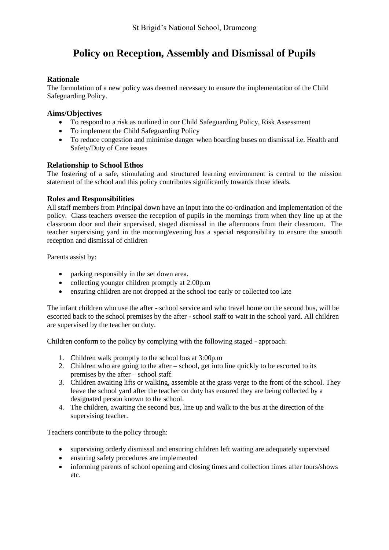# **Policy on Reception, Assembly and Dismissal of Pupils**

# **Rationale**

The formulation of a new policy was deemed necessary to ensure the implementation of the Child Safeguarding Policy.

### **Aims/Objectives**

- To respond to a risk as outlined in our Child Safeguarding Policy, Risk Assessment
- To implement the Child Safeguarding Policy
- To reduce congestion and minimise danger when boarding buses on dismissal i.e. Health and Safety/Duty of Care issues

# **Relationship to School Ethos**

The fostering of a safe, stimulating and structured learning environment is central to the mission statement of the school and this policy contributes significantly towards those ideals.

# **Roles and Responsibilities**

All staff members from Principal down have an input into the co-ordination and implementation of the policy. Class teachers oversee the reception of pupils in the mornings from when they line up at the classroom door and their supervised, staged dismissal in the afternoons from their classroom. The teacher supervising yard in the morning/evening has a special responsibility to ensure the smooth reception and dismissal of children

Parents assist by:

- parking responsibly in the set down area.
- collecting younger children promptly at 2:00p.m
- ensuring children are not dropped at the school too early or collected too late

The infant children who use the after - school service and who travel home on the second bus, will be escorted back to the school premises by the after - school staff to wait in the school yard. All children are supervised by the teacher on duty.

Children conform to the policy by complying with the following staged - approach:

- 1. Children walk promptly to the school bus at 3:00p.m
- 2. Children who are going to the after school, get into line quickly to be escorted to its premises by the after – school staff.
- 3. Children awaiting lifts or walking, assemble at the grass verge to the front of the school. They leave the school yard after the teacher on duty has ensured they are being collected by a designated person known to the school.
- 4. The children, awaiting the second bus, line up and walk to the bus at the direction of the supervising teacher.

Teachers contribute to the policy through:

- supervising orderly dismissal and ensuring children left waiting are adequately supervised
- ensuring safety procedures are implemented
- informing parents of school opening and closing times and collection times after tours/shows etc.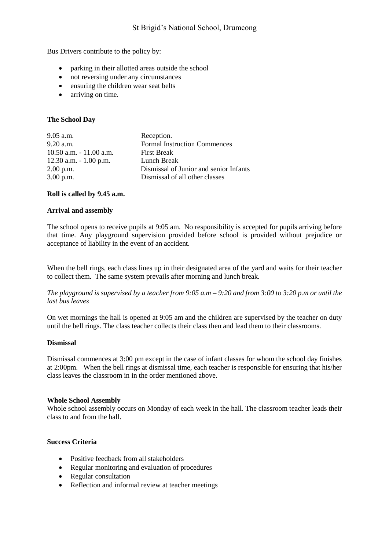Bus Drivers contribute to the policy by:

- parking in their allotted areas outside the school
- not reversing under any circumstances
- ensuring the children wear seat belts
- arriving on time.

#### **The School Day**

| $9.05$ a.m.                | Reception.                             |
|----------------------------|----------------------------------------|
| $9.20$ a.m.                | <b>Formal Instruction Commences</b>    |
| $10.50$ a.m. $-11.00$ a.m. | <b>First Break</b>                     |
| $12.30$ a.m. $-1.00$ p.m.  | Lunch Break                            |
| $2.00$ p.m.                | Dismissal of Junior and senior Infants |
| $3.00$ p.m.                | Dismissal of all other classes         |
|                            |                                        |

#### **Roll is called by 9.45 a.m.**

#### **Arrival and assembly**

The school opens to receive pupils at 9:05 am. No responsibility is accepted for pupils arriving before that time. Any playground supervision provided before school is provided without prejudice or acceptance of liability in the event of an accident.

When the bell rings, each class lines up in their designated area of the yard and waits for their teacher to collect them. The same system prevails after morning and lunch break.

*The playground is supervised by a teacher from 9:05 a.m – 9:20 and from 3:00 to 3:20 p.m or until the last bus leaves*

On wet mornings the hall is opened at 9:05 am and the children are supervised by the teacher on duty until the bell rings. The class teacher collects their class then and lead them to their classrooms.

#### **Dismissal**

Dismissal commences at 3:00 pm except in the case of infant classes for whom the school day finishes at 2:00pm. When the bell rings at dismissal time, each teacher is responsible for ensuring that his/her class leaves the classroom in in the order mentioned above.

#### **Whole School Assembly**

Whole school assembly occurs on Monday of each week in the hall. The classroom teacher leads their class to and from the hall.

#### **Success Criteria**

- Positive feedback from all stakeholders
- Regular monitoring and evaluation of procedures
- Regular consultation
- Reflection and informal review at teacher meetings